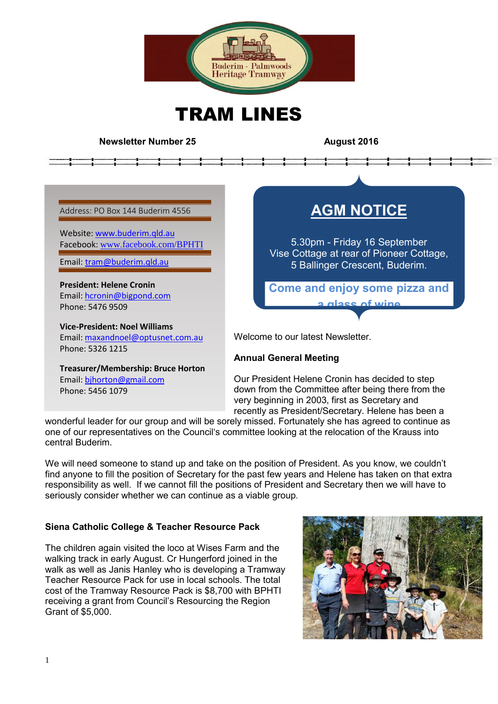

TRAM LINES

#### **Newsletter Number 25 August** 2016

Address: PO Box 144 Buderim 4556

Website: [www.buderim.qld.au](http://www.buderim.qld.au/) Facebook: [www.facebook.com/BPHTI](http://www.facebook.com/BPHTI)

Email: [tram@buderim.qld.au](mailto:tram@buderim.qld.au)

**President: Helene Cronin**  Email: [hcronin@bigpond.com](mailto:hcronin@bigpond.com) Phone: 5476 9509

**Vice-President: Noel Williams** Email[: maxandnoel@optusnet.com.au](mailto:maxandnoel@optusnet.com.au) Phone: 5326 1215

**Treasurer/Membership: Bruce Horton** Email[: bjhorton@gmail.com](mailto:bjhorton@gmail.com) Phone: 5456 1079

# **AGM NOTICE**

5.30pm - Friday 16 September Vise Cottage at rear of Pioneer Cottage, 5 Ballinger Crescent, Buderim.

**Come and enjoy some pizza and a glass of wine**

Welcome to our latest Newsletter.

#### **Annual General Meeting**

Our President Helene Cronin has decided to step down from the Committee after being there from the very beginning in 2003, first as Secretary and recently as President/Secretary. Helene has been a

wonderful leader for our group and will be sorely missed. Fortunately she has agreed to continue as one of our representatives on the Council's committee looking at the relocation of the Krauss into central Buderim.

We will need someone to stand up and take on the position of President. As you know, we couldn't find anyone to fill the position of Secretary for the past few years and Helene has taken on that extra responsibility as well. If we cannot fill the positions of President and Secretary then we will have to seriously consider whether we can continue as a viable group.

# **Siena Catholic College & Teacher Resource Pack**

The children again visited the loco at Wises Farm and the walking track in early August. Cr Hungerford joined in the walk as well as Janis Hanley who is developing a Tramway Teacher Resource Pack for use in local schools. The total cost of the Tramway Resource Pack is \$8,700 with BPHTI receiving a grant from Council's Resourcing the Region Grant of \$5,000.

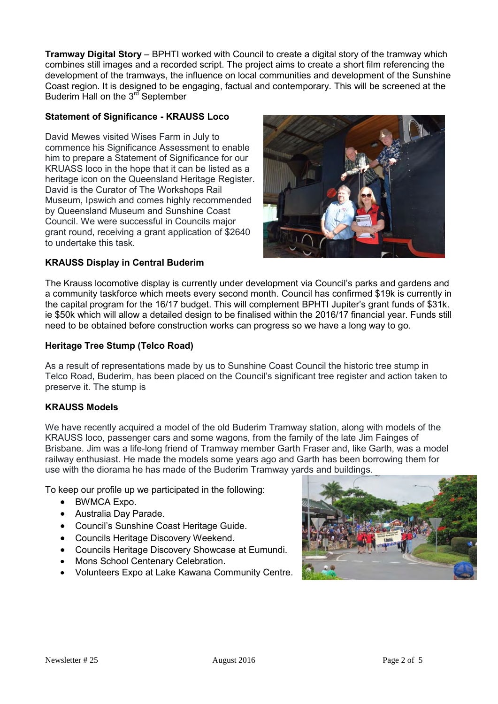**Tramway Digital Story** – BPHTI worked with Council to create a digital story of the tramway which combines still images and a recorded script. The project aims to create a short film referencing the development of the tramways, the influence on local communities and development of the Sunshine Coast region. It is designed to be engaging, factual and contemporary. This will be screened at the Buderim Hall on the  $3^{rd}$  September

### **Statement of Significance - KRAUSS Loco**

David Mewes visited Wises Farm in July to commence his Significance Assessment to enable him to prepare a Statement of Significance for our KRUASS loco in the hope that it can be listed as a heritage icon on the Queensland Heritage Register. David is the Curator of The Workshops Rail Museum, Ipswich and comes highly recommended by Queensland Museum and Sunshine Coast Council. We were successful in Councils major grant round, receiving a grant application of \$2640 to undertake this task.



#### **KRAUSS Display in Central Buderim**

The Krauss locomotive display is currently under development via Council's parks and gardens and a community taskforce which meets every second month. Council has confirmed \$19k is currently in the capital program for the 16/17 budget. This will complement BPHTI Jupiter's grant funds of \$31k. ie \$50k which will allow a detailed design to be finalised within the 2016/17 financial year. Funds still need to be obtained before construction works can progress so we have a long way to go.

#### **Heritage Tree Stump (Telco Road)**

As a result of representations made by us to Sunshine Coast Council the historic tree stump in Telco Road, Buderim, has been placed on the Council's significant tree register and action taken to preserve it. The stump is

#### **KRAUSS Models**

We have recently acquired a model of the old Buderim Tramway station, along with models of the KRAUSS loco, passenger cars and some wagons, from the family of the late Jim Fainges of Brisbane. Jim was a life-long friend of Tramway member Garth Fraser and, like Garth, was a model railway enthusiast. He made the models some years ago and Garth has been borrowing them for use with the diorama he has made of the Buderim Tramway yards and buildings.

To keep our profile up we participated in the following:

- BWMCA Expo.
- Australia Day Parade.
- Council's Sunshine Coast Heritage Guide.
- Councils Heritage Discovery Weekend.
- Councils Heritage Discovery Showcase at Eumundi.
- Mons School Centenary Celebration.
- Volunteers Expo at Lake Kawana Community Centre.

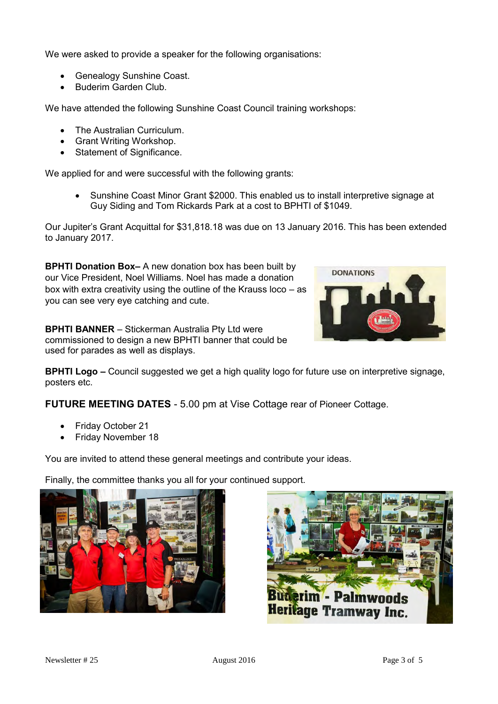We were asked to provide a speaker for the following organisations:

- Genealogy Sunshine Coast.
- Buderim Garden Club.

We have attended the following Sunshine Coast Council training workshops:

- The Australian Curriculum.
- Grant Writing Workshop.
- Statement of Significance.

We applied for and were successful with the following grants:

• Sunshine Coast Minor Grant \$2000. This enabled us to install interpretive signage at Guy Siding and Tom Rickards Park at a cost to BPHTI of \$1049.

Our Jupiter's Grant Acquittal for \$31,818.18 was due on 13 January 2016. This has been extended to January 2017.

**BPHTI Donation Box–** A new donation box has been built by our Vice President, Noel Williams. Noel has made a donation box with extra creativity using the outline of the Krauss loco – as you can see very eye catching and cute.

**BPHTI BANNER** – Stickerman Australia Pty Ltd were commissioned to design a new BPHTI banner that could be used for parades as well as displays.



**FUTURE MEETING DATES** - 5.00 pm at Vise Cottage rear of Pioneer Cottage.

- Friday October 21
- Friday November 18

You are invited to attend these general meetings and contribute your ideas.

Finally, the committee thanks you all for your continued support.